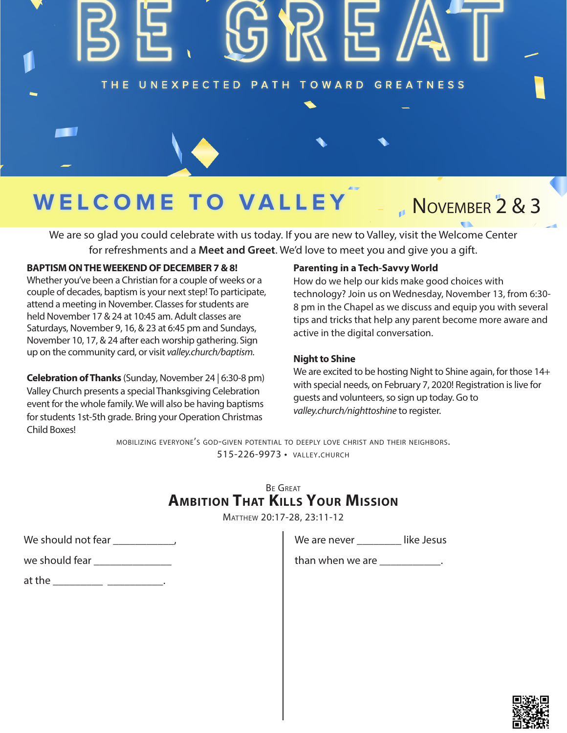# THE UNEXPECTED PATH TOWARD GREATNESS

# WELCOME TO **VAL**

# November 2 & 3

We are so glad you could celebrate with us today. If you are new to Valley, visit the Welcome Center for refreshments and a **Meet and Greet**. We'd love to meet you and give you a gift.

#### **BAPTISM ON THE WEEKEND OF DECEMBER 7 & 8!**

Whether you've been a Christian for a couple of weeks or a couple of decades, baptism is your next step! To participate, attend a meeting in November. Classes for students are held November 17 & 24 at 10:45 am. Adult classes are Saturdays, November 9, 16, & 23 at 6:45 pm and Sundays, November 10, 17, & 24 after each worship gathering. Sign up on the community card, or visit *valley.church/baptism.*

**Celebration of Thanks** (Sunday, November 24 | 6:30-8 pm) Valley Church presents a special Thanksgiving Celebration event for the whole family. We will also be having baptisms for students 1st-5th grade. Bring your Operation Christmas Child Boxes!

#### **Parenting in a Tech-Savvy World**

How do we help our kids make good choices with technology? Join us on Wednesday, November 13, from 6:30- 8 pm in the Chapel as we discuss and equip you with several tips and tricks that help any parent become more aware and active in the digital conversation.

#### **Night to Shine**

We are excited to be hosting Night to Shine again, for those 14+ with special needs, on February 7, 2020! Registration is live for guests and volunteers, so sign up today. Go to *valley.church/nighttoshine* to register.

mobilizing everyone's god-given potential to deeply love christ and their neighbors. 515-226-9973 • valley.church

## Be Great **Ambition That Kills Your Mission**

Matthew 20:17-28, 23:11-12

| We should not fear |  |
|--------------------|--|
|--------------------|--|

at the  $\Box$ 

We are never **like Jesus** 

than when we are \_\_\_\_\_\_\_\_\_\_\_\_.